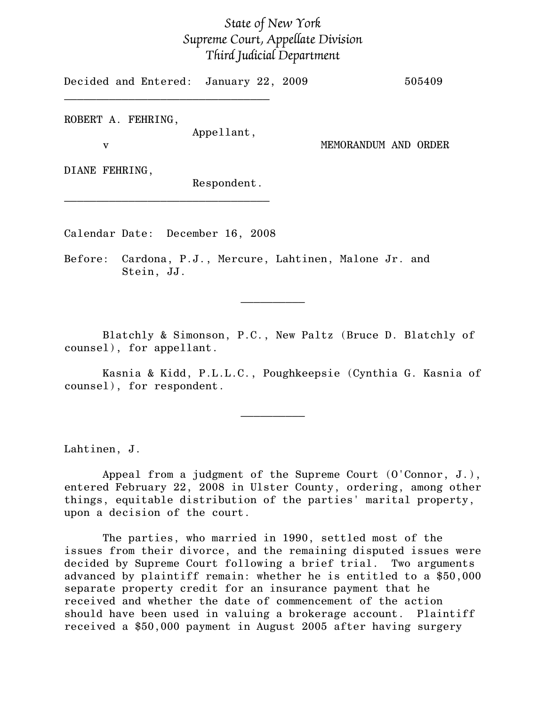## State of New York Supreme Court, Appellate Division Third Judicial Department

Decided and Entered: January 22, 2009 505409  $\mathcal{L}=\{1,2,3,4,5\}$ 

ROBERT A. FEHRING,

Appellant,

v MEMORANDUM AND ORDER

DIANE FEHRING,

Respondent.

Calendar Date: December 16, 2008

 $\mathcal{L}=\{1,2,3,4,5\}$ 

Before: Cardona, P.J., Mercure, Lahtinen, Malone Jr. and Stein, JJ.

Blatchly & Simonson, P.C., New Paltz (Bruce D. Blatchly of counsel), for appellant.

 $\frac{1}{2}$ 

Kasnia & Kidd, P.L.L.C., Poughkeepsie (Cynthia G. Kasnia of counsel), for respondent.

 $\frac{1}{2}$ 

Lahtinen, J.

Appeal from a judgment of the Supreme Court (O'Connor, J.), entered February 22, 2008 in Ulster County, ordering, among other things, equitable distribution of the parties' marital property, upon a decision of the court.

The parties, who married in 1990, settled most of the issues from their divorce, and the remaining disputed issues were decided by Supreme Court following a brief trial. Two arguments advanced by plaintiff remain: whether he is entitled to a \$50,000 separate property credit for an insurance payment that he received and whether the date of commencement of the action should have been used in valuing a brokerage account. Plaintiff received a \$50,000 payment in August 2005 after having surgery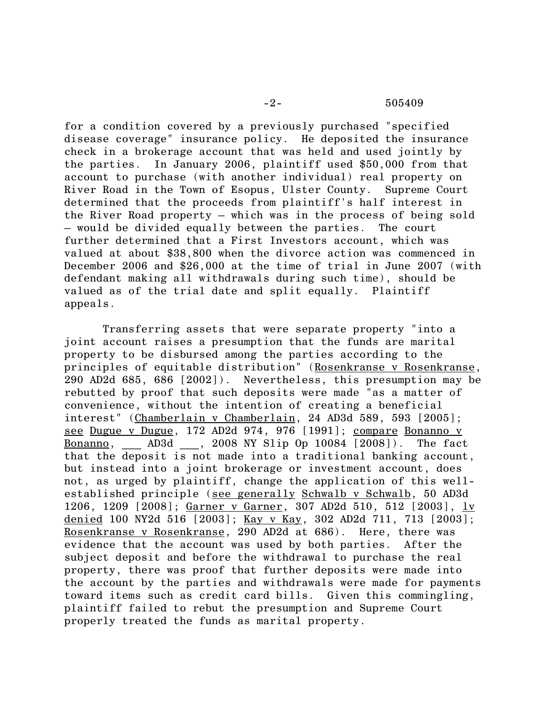for a condition covered by a previously purchased "specified disease coverage" insurance policy. He deposited the insurance check in a brokerage account that was held and used jointly by the parties. In January 2006, plaintiff used \$50,000 from that account to purchase (with another individual) real property on River Road in the Town of Esopus, Ulster County. Supreme Court determined that the proceeds from plaintiff's half interest in the River Road property – which was in the process of being sold – would be divided equally between the parties. The court further determined that a First Investors account, which was valued at about \$38,800 when the divorce action was commenced in December 2006 and \$26,000 at the time of trial in June 2007 (with defendant making all withdrawals during such time), should be valued as of the trial date and split equally. Plaintiff appeals.

Transferring assets that were separate property "into a joint account raises a presumption that the funds are marital property to be disbursed among the parties according to the principles of equitable distribution" (Rosenkranse v Rosenkranse, 290 AD2d 685, 686 [2002]). Nevertheless, this presumption may be rebutted by proof that such deposits were made "as a matter of convenience, without the intention of creating a beneficial interest" (Chamberlain v Chamberlain, 24 AD3d 589, 593 [2005]; see Dugue v Dugue, 172 AD2d 974, 976 [1991]; compare Bonanno v Bonanno, \_\_\_ AD3d \_\_\_, 2008 NY Slip Op 10084 [2008]). The fact that the deposit is not made into a traditional banking account, but instead into a joint brokerage or investment account, does not, as urged by plaintiff, change the application of this wellestablished principle (see generally Schwalb v Schwalb, 50 AD3d 1206, 1209 [2008]; Garner v Garner, 307 AD2d 510, 512 [2003], 1v denied 100 NY2d 516 [2003]; Kay v Kay, 302 AD2d 711, 713 [2003]; Rosenkranse v Rosenkranse, 290 AD2d at 686). Here, there was evidence that the account was used by both parties. After the subject deposit and before the withdrawal to purchase the real property, there was proof that further deposits were made into the account by the parties and withdrawals were made for payments toward items such as credit card bills. Given this commingling, plaintiff failed to rebut the presumption and Supreme Court properly treated the funds as marital property.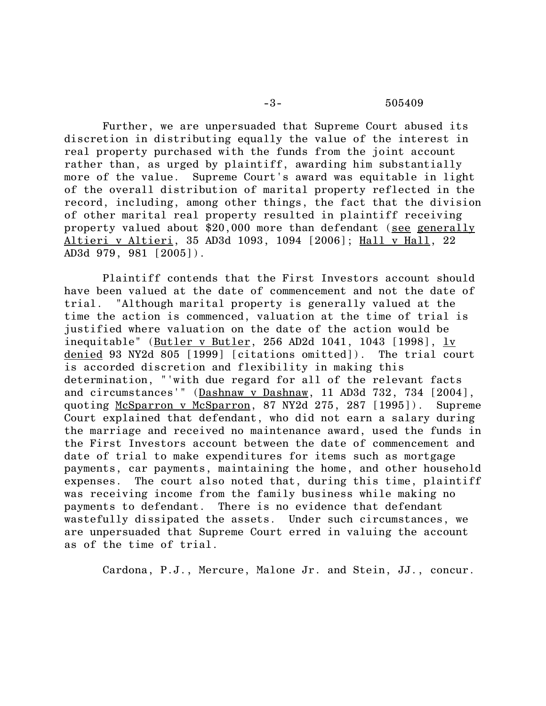Further, we are unpersuaded that Supreme Court abused its discretion in distributing equally the value of the interest in real property purchased with the funds from the joint account rather than, as urged by plaintiff, awarding him substantially more of the value. Supreme Court's award was equitable in light of the overall distribution of marital property reflected in the record, including, among other things, the fact that the division of other marital real property resulted in plaintiff receiving property valued about \$20,000 more than defendant (see generally Altieri v Altieri, 35 AD3d 1093, 1094 [2006]; Hall v Hall, 22 AD3d 979, 981 [2005]).

Plaintiff contends that the First Investors account should have been valued at the date of commencement and not the date of trial. "Although marital property is generally valued at the time the action is commenced, valuation at the time of trial is justified where valuation on the date of the action would be inequitable" (Butler v Butler, 256 AD2d 1041, 1043 [1998], lv denied 93 NY2d 805 [1999] [citations omitted]). The trial court is accorded discretion and flexibility in making this determination, "'with due regard for all of the relevant facts and circumstances'" (Dashnaw v Dashnaw, 11 AD3d 732, 734 [2004], quoting McSparron v McSparron, 87 NY2d 275, 287 [1995]). Supreme Court explained that defendant, who did not earn a salary during the marriage and received no maintenance award, used the funds in the First Investors account between the date of commencement and date of trial to make expenditures for items such as mortgage payments, car payments, maintaining the home, and other household expenses. The court also noted that, during this time, plaintiff was receiving income from the family business while making no payments to defendant. There is no evidence that defendant wastefully dissipated the assets. Under such circumstances, we are unpersuaded that Supreme Court erred in valuing the account as of the time of trial.

Cardona, P.J., Mercure, Malone Jr. and Stein, JJ., concur.